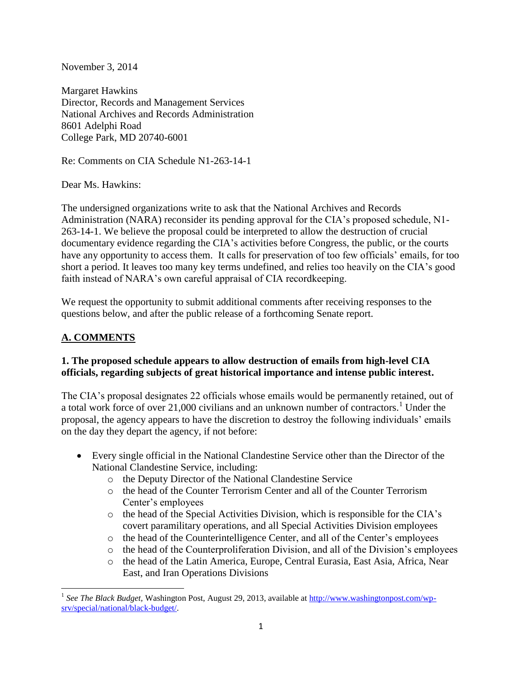November 3, 2014

Margaret Hawkins Director, Records and Management Services National Archives and Records Administration 8601 Adelphi Road College Park, MD 20740-6001

Re: Comments on CIA Schedule N1-263-14-1

Dear Ms. Hawkins:

The undersigned organizations write to ask that the National Archives and Records Administration (NARA) reconsider its pending approval for the CIA's proposed schedule, N1- 263-14-1. We believe the proposal could be interpreted to allow the destruction of crucial documentary evidence regarding the CIA's activities before Congress, the public, or the courts have any opportunity to access them. It calls for preservation of too few officials' emails, for too short a period. It leaves too many key terms undefined, and relies too heavily on the CIA's good faith instead of NARA's own careful appraisal of CIA recordkeeping.

We request the opportunity to submit additional comments after receiving responses to the questions below, and after the public release of a forthcoming Senate report.

# **A. COMMENTS**

 $\overline{\phantom{a}}$ 

### **1. The proposed schedule appears to allow destruction of emails from high-level CIA officials, regarding subjects of great historical importance and intense public interest.**

The CIA's proposal designates 22 officials whose emails would be permanently retained, out of a total work force of over  $21,000$  civilians and an unknown number of contractors.<sup>1</sup> Under the proposal, the agency appears to have the discretion to destroy the following individuals' emails on the day they depart the agency, if not before:

- Every single official in the National Clandestine Service other than the Director of the National Clandestine Service, including:
	- o the Deputy Director of the National Clandestine Service
	- o the head of the Counter Terrorism Center and all of the Counter Terrorism Center's employees
	- $\circ$  the head of the Special Activities Division, which is responsible for the CIA's covert paramilitary operations, and all Special Activities Division employees
	- o the head of the Counterintelligence Center, and all of the Center's employees
	- o the head of the Counterproliferation Division, and all of the Division's employees
	- o the head of the Latin America, Europe, Central Eurasia, East Asia, Africa, Near East, and Iran Operations Divisions

<sup>&</sup>lt;sup>1</sup> See The Black Budget, Washington Post, August 29, 2013, available at [http://www.washingtonpost.com/wp](http://www.washingtonpost.com/wp-srv/special/national/black-budget/)[srv/special/national/black-budget/.](http://www.washingtonpost.com/wp-srv/special/national/black-budget/)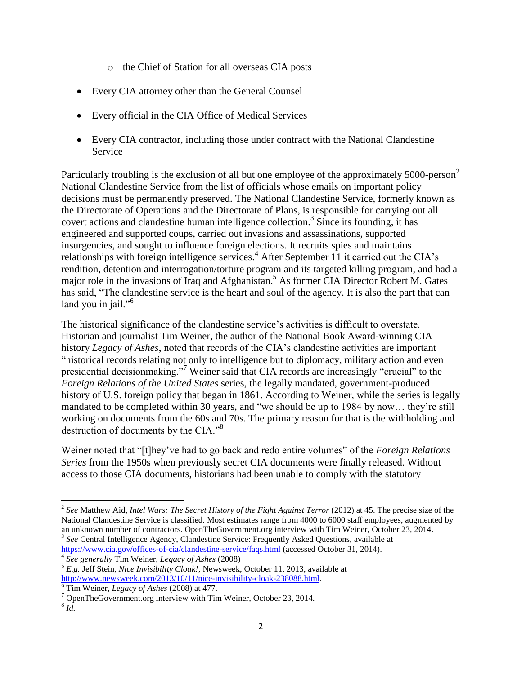- o the Chief of Station for all overseas CIA posts
- Every CIA attorney other than the General Counsel
- Every official in the CIA Office of Medical Services
- Every CIA contractor, including those under contract with the National Clandestine Service

Particularly troubling is the exclusion of all but one employee of the approximately 5000-person<sup>2</sup> National Clandestine Service from the list of officials whose emails on important policy decisions must be permanently preserved. The National Clandestine Service, formerly known as the Directorate of Operations and the Directorate of Plans, is responsible for carrying out all covert actions and clandestine human intelligence collection. 3 Since its founding, it has engineered and supported coups, carried out invasions and assassinations, supported insurgencies, and sought to influence foreign elections. It recruits spies and maintains relationships with foreign intelligence services.<sup>4</sup> After September 11 it carried out the CIA's rendition, detention and interrogation/torture program and its targeted killing program, and had a major role in the invasions of Iraq and Afghanistan. <sup>5</sup> As former CIA Director Robert M. Gates has said, "The clandestine service is the heart and soul of the agency. It is also the part that can land you in jail."<sup>6</sup>

The historical significance of the clandestine service's activities is difficult to overstate. Historian and journalist Tim Weiner, the author of the National Book Award-winning CIA history *Legacy of Ashes*, noted that records of the CIA's clandestine activities are important "historical records relating not only to intelligence but to diplomacy, military action and even presidential decisionmaking."<sup>7</sup> Weiner said that CIA records are increasingly "crucial" to the *Foreign Relations of the United States* series, the legally mandated, government-produced history of U.S. foreign policy that began in 1861. According to Weiner, while the series is legally mandated to be completed within 30 years, and "we should be up to 1984 by now… they're still working on documents from the 60s and 70s. The primary reason for that is the withholding and destruction of documents by the CIA."<sup>8</sup>

Weiner noted that "[t]hey've had to go back and redo entire volumes" of the *Foreign Relations Series* from the 1950s when previously secret CIA documents were finally released. Without access to those CIA documents, historians had been unable to comply with the statutory

 2 *See* Matthew Aid, *Intel Wars: The Secret History of the Fight Against Terror* (2012) at 45. The precise size of the National Clandestine Service is classified. Most estimates range from 4000 to 6000 staff employees, augmented by an unknown number of contractors. OpenTheGovernment.org interview with Tim Weiner, October 23, 2014. <sup>3</sup> See Central Intelligence Agency, Clandestine Service: Frequently Asked Questions, available at

<https://www.cia.gov/offices-of-cia/clandestine-service/faqs.html> (accessed October 31, 2014). 4 *See generally* Tim Weiner, *Legacy of Ashes* (2008)

<sup>5</sup> *E.g.* Jeff Stein, *Nice Invisibility Cloak!*, Newsweek, October 11, 2013, available at [http://www.newsweek.com/2013/10/11/nice-invisibility-cloak-238088.html.](http://www.newsweek.com/2013/10/11/nice-invisibility-cloak-238088.html)

<sup>6</sup> Tim Weiner, *Legacy of Ashes* (2008) at 477.

<sup>7</sup> OpenTheGovernment.org interview with Tim Weiner, October 23, 2014.

<sup>8</sup> *Id.*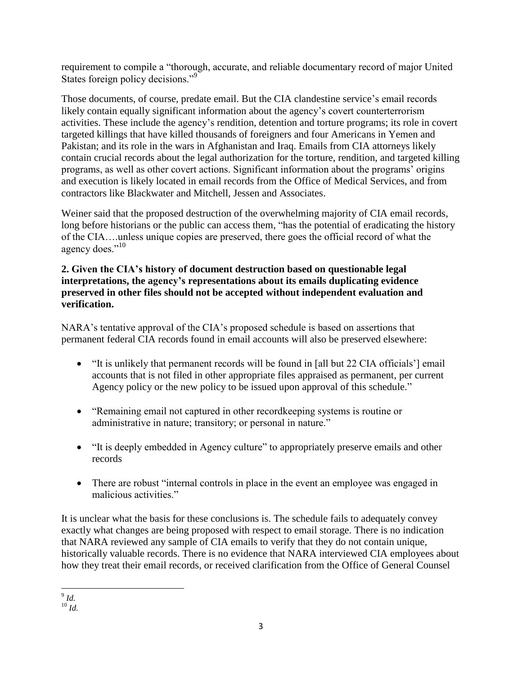requirement to compile a "thorough, accurate, and reliable documentary record of major United States foreign policy decisions."<sup>9</sup>

Those documents, of course, predate email. But the CIA clandestine service's email records likely contain equally significant information about the agency's covert counterterrorism activities. These include the agency's rendition, detention and torture programs; its role in covert targeted killings that have killed thousands of foreigners and four Americans in Yemen and Pakistan; and its role in the wars in Afghanistan and Iraq. Emails from CIA attorneys likely contain crucial records about the legal authorization for the torture, rendition, and targeted killing programs, as well as other covert actions. Significant information about the programs' origins and execution is likely located in email records from the Office of Medical Services, and from contractors like Blackwater and Mitchell, Jessen and Associates.

Weiner said that the proposed destruction of the overwhelming majority of CIA email records, long before historians or the public can access them, "has the potential of eradicating the history of the CIA….unless unique copies are preserved, there goes the official record of what the agency does."<sup>10</sup>

### **2. Given the CIA's history of document destruction based on questionable legal interpretations, the agency's representations about its emails duplicating evidence preserved in other files should not be accepted without independent evaluation and verification.**

NARA's tentative approval of the CIA's proposed schedule is based on assertions that permanent federal CIA records found in email accounts will also be preserved elsewhere:

- "It is unlikely that permanent records will be found in [all but 22 CIA officials'] email accounts that is not filed in other appropriate files appraised as permanent, per current Agency policy or the new policy to be issued upon approval of this schedule."
- "Remaining email not captured in other recordkeeping systems is routine or administrative in nature; transitory; or personal in nature."
- "It is deeply embedded in Agency culture" to appropriately preserve emails and other records
- There are robust "internal controls in place in the event an employee was engaged in malicious activities."

It is unclear what the basis for these conclusions is. The schedule fails to adequately convey exactly what changes are being proposed with respect to email storage. There is no indication that NARA reviewed any sample of CIA emails to verify that they do not contain unique, historically valuable records. There is no evidence that NARA interviewed CIA employees about how they treat their email records, or received clarification from the Office of General Counsel

 9 *Id.*

<sup>10</sup> *Id.*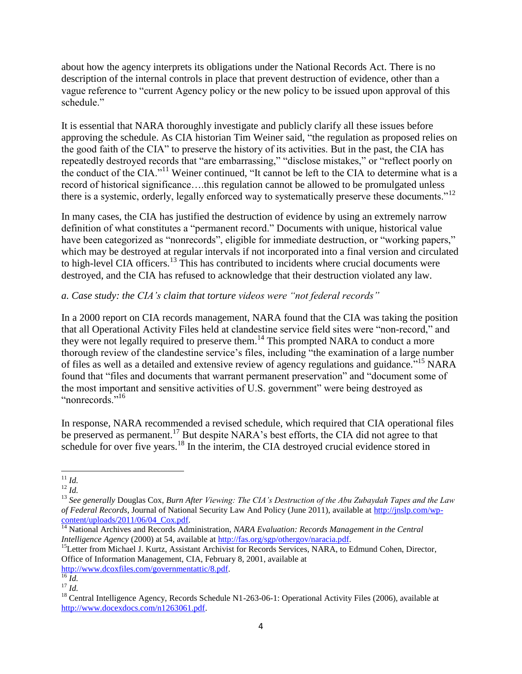about how the agency interprets its obligations under the National Records Act. There is no description of the internal controls in place that prevent destruction of evidence, other than a vague reference to "current Agency policy or the new policy to be issued upon approval of this schedule."

It is essential that NARA thoroughly investigate and publicly clarify all these issues before approving the schedule. As CIA historian Tim Weiner said, "the regulation as proposed relies on the good faith of the CIA" to preserve the history of its activities. But in the past, the CIA has repeatedly destroyed records that "are embarrassing," "disclose mistakes," or "reflect poorly on the conduct of the CIA."<sup>11</sup> Weiner continued, "It cannot be left to the CIA to determine what is a record of historical significance….this regulation cannot be allowed to be promulgated unless there is a systemic, orderly, legally enforced way to systematically preserve these documents."<sup>12</sup>

In many cases, the CIA has justified the destruction of evidence by using an extremely narrow definition of what constitutes a "permanent record." Documents with unique, historical value have been categorized as "nonrecords", eligible for immediate destruction, or "working papers," which may be destroyed at regular intervals if not incorporated into a final version and circulated to high-level CIA officers.<sup>13</sup> This has contributed to incidents where crucial documents were destroyed, and the CIA has refused to acknowledge that their destruction violated any law.

## *a. Case study: the CIA's claim that torture videos were "not federal records"*

In a 2000 report on CIA records management, NARA found that the CIA was taking the position that all Operational Activity Files held at clandestine service field sites were "non-record," and they were not legally required to preserve them.<sup>14</sup> This prompted NARA to conduct a more thorough review of the clandestine service's files, including "the examination of a large number of files as well as a detailed and extensive review of agency regulations and guidance."<sup>15</sup> NARA found that "files and documents that warrant permanent preservation" and "document some of the most important and sensitive activities of U.S. government" were being destroyed as "nonrecords."<sup>16</sup>

In response, NARA recommended a revised schedule, which required that CIA operational files be preserved as permanent.<sup>17</sup> But despite NARA's best efforts, the CIA did not agree to that schedule for over five years.<sup>18</sup> In the interim, the CIA destroyed crucial evidence stored in

[http://www.dcoxfiles.com/governmentattic/8.pdf.](http://www.dcoxfiles.com/governmentattic/8.pdf)

 $\overline{a}$ <sup>11</sup> *Id.*

 $^{12}$  *Id.* 

<sup>13</sup> *See generally* Douglas Cox, *Burn After Viewing: The CIA's Destruction of the Abu Zubaydah Tapes and the Law of Federal Records*, Journal of National Security Law And Policy (June 2011), available at [http://jnslp.com/wp](http://jnslp.com/wp-content/uploads/2011/06/04_Cox.pdf)content/uploads/2011/06/04 Cox.pdf.

<sup>&</sup>lt;sup>14</sup> National Archives and Records Administration, *NARA Evaluation: Records Management in the Central Intelligence Agency* (2000) at 54, available at [http://fas.org/sgp/othergov/naracia.pdf.](http://fas.org/sgp/othergov/naracia.pdf)

<sup>&</sup>lt;sup>15</sup>Letter from Michael J. Kurtz, Assistant Archivist for Records Services, NARA, to Edmund Cohen, Director, Office of Information Management, CIA, February 8, 2001, available at

<sup>16</sup> *Id.* <sup>17</sup> *Id.*

<sup>&</sup>lt;sup>18</sup> Central Intelligence Agency, Records Schedule N1-263-06-1: Operational Activity Files (2006), available at [http://www.docexdocs.com/n1263061.pdf.](http://www.docexdocs.com/n1263061.pdf)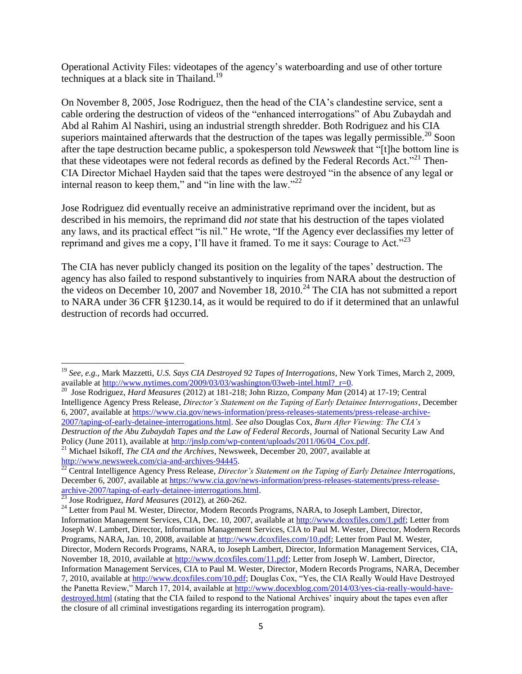Operational Activity Files: videotapes of the agency's waterboarding and use of other torture techniques at a black site in Thailand.<sup>19</sup>

On November 8, 2005, Jose Rodriguez, then the head of the CIA's clandestine service, sent a cable ordering the destruction of videos of the "enhanced interrogations" of Abu Zubaydah and Abd al Rahim Al Nashiri, using an industrial strength shredder. Both Rodriguez and his CIA superiors maintained afterwards that the destruction of the tapes was legally permissible.<sup>20</sup> Soon after the tape destruction became public, a spokesperson told *Newsweek* that "[t]he bottom line is that these videotapes were not federal records as defined by the Federal Records Act."<sup>21</sup> Then-CIA Director Michael Hayden said that the tapes were destroyed "in the absence of any legal or internal reason to keep them," and "in line with the law." $^{22}$ 

Jose Rodriguez did eventually receive an administrative reprimand over the incident, but as described in his memoirs, the reprimand did *not* state that his destruction of the tapes violated any laws, and its practical effect "is nil." He wrote, "If the Agency ever declassifies my letter of reprimand and gives me a copy, I'll have it framed. To me it says: Courage to Act.<sup>223</sup>

The CIA has never publicly changed its position on the legality of the tapes' destruction. The agency has also failed to respond substantively to inquiries from NARA about the destruction of the videos on December 10, 2007 and November 18, 2010.<sup>24</sup> The CIA has not submitted a report to NARA under 36 CFR §1230.14, as it would be required to do if it determined that an unlawful destruction of records had occurred.

available at [http://www.nytimes.com/2009/03/03/washington/03web-intel.html?\\_r=0.](http://www.nytimes.com/2009/03/03/washington/03web-intel.html?_r=0) 20 Jose Rodriguez, *Hard Measures* (2012) at 181-218; John Rizzo, *Company Man* (2014) at 17-19; Central Intelligence Agency Press Release, *Director's Statement on the Taping of Early Detainee Interrogations*, December 6, 2007, available at [https://www.cia.gov/news-information/press-releases-statements/press-release-archive-](https://www.cia.gov/news-information/press-releases-statements/press-release-archive-2007/taping-of-early-detainee-interrogations.html)[2007/taping-of-early-detainee-interrogations.html.](https://www.cia.gov/news-information/press-releases-statements/press-release-archive-2007/taping-of-early-detainee-interrogations.html) *See also* Douglas Cox, *Burn After Viewing: The CIA's Destruction of the Abu Zubaydah Tapes and the Law of Federal Records*, Journal of National Security Law And Policy (June 2011), available at [http://jnslp.com/wp-content/uploads/2011/06/04\\_Cox.pdf.](http://jnslp.com/wp-content/uploads/2011/06/04_Cox.pdf)

 $\overline{\phantom{a}}$ <sup>19</sup> *See, e.g.,* Mark Mazzetti, *U.S. Says CIA Destroyed 92 Tapes of Interrogations*, New York Times, March 2, 2009,

<sup>&</sup>lt;sup>21</sup> Michael Isikoff, *The CIA and the Archives*, Newsweek, December 20, 2007, available at [http://www.newsweek.com/cia-and-archives-94445.](http://www.newsweek.com/cia-and-archives-94445)

<sup>22</sup> Central Intelligence Agency Press Release, *Director's Statement on the Taping of Early Detainee Interrogations*, December 6, 2007, available at [https://www.cia.gov/news-information/press-releases-statements/press-release](https://www.cia.gov/news-information/press-releases-statements/press-release-archive-2007/taping-of-early-detainee-interrogations.html)[archive-2007/taping-of-early-detainee-interrogations.html.](https://www.cia.gov/news-information/press-releases-statements/press-release-archive-2007/taping-of-early-detainee-interrogations.html)

<sup>23</sup> Jose Rodriguez, *Hard Measures* (2012), at 260-262.

<sup>&</sup>lt;sup>24</sup> Letter from Paul M. Wester, Director, Modern Records Programs, NARA, to Joseph Lambert, Director,

Information Management Services, CIA, Dec. 10, 2007, available at [http://www.dcoxfiles.com/1.pdf;](http://www.dcoxfiles.com/1.pdf) Letter from Joseph W. Lambert, Director, Information Management Services, CIA to Paul M. Wester, Director, Modern Records Programs, NARA, Jan. 10, 2008, available at [http://www.dcoxfiles.com/10.pdf;](http://www.dcoxfiles.com/10.pdf) Letter from Paul M. Wester, Director, Modern Records Programs, NARA, to Joseph Lambert, Director, Information Management Services, CIA, November 18, 2010, available at [http://www.dcoxfiles.com/11.pdf;](http://www.dcoxfiles.com/11.pdf) Letter from Joseph W. Lambert, Director, Information Management Services, CIA to Paul M. Wester, Director, Modern Records Programs, NARA, December 7, 2010, available at [http://www.dcoxfiles.com/10.pdf;](http://www.dcoxfiles.com/10.pdf) Douglas Cox, "Yes, the CIA Really Would Have Destroyed the Panetta Review," March 17, 2014, available at [http://www.docexblog.com/2014/03/yes-cia-really-would-have](http://www.docexblog.com/2014/03/yes-cia-really-would-have-destroyed.html)[destroyed.html](http://www.docexblog.com/2014/03/yes-cia-really-would-have-destroyed.html) (stating that the CIA failed to respond to the National Archives' inquiry about the tapes even after the closure of all criminal investigations regarding its interrogation program).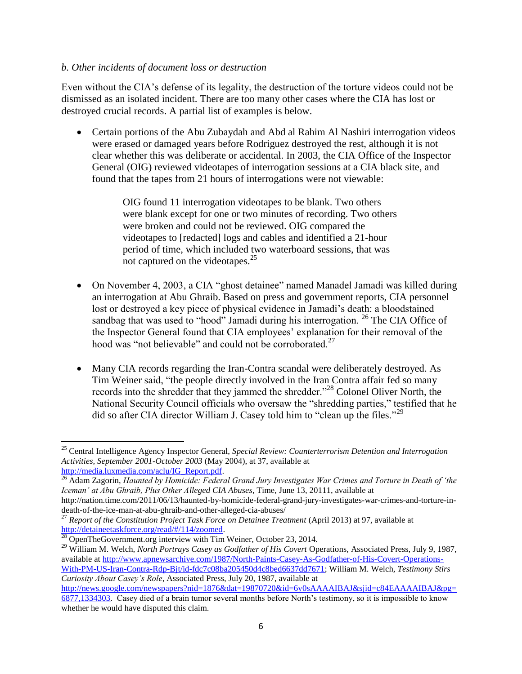#### *b. Other incidents of document loss or destruction*

Even without the CIA's defense of its legality, the destruction of the torture videos could not be dismissed as an isolated incident. There are too many other cases where the CIA has lost or destroyed crucial records. A partial list of examples is below.

• Certain portions of the Abu Zubaydah and Abd al Rahim Al Nashiri interrogation videos were erased or damaged years before Rodriguez destroyed the rest, although it is not clear whether this was deliberate or accidental. In 2003, the CIA Office of the Inspector General (OIG) reviewed videotapes of interrogation sessions at a CIA black site, and found that the tapes from 21 hours of interrogations were not viewable:

> OIG found 11 interrogation videotapes to be blank. Two others were blank except for one or two minutes of recording. Two others were broken and could not be reviewed. OIG compared the videotapes to [redacted] logs and cables and identified a 21-hour period of time, which included two waterboard sessions, that was not captured on the videotapes.<sup>25</sup>

- On November 4, 2003, a CIA "ghost detainee" named Manadel Jamadi was killed during an interrogation at Abu Ghraib. Based on press and government reports, CIA personnel lost or destroyed a key piece of physical evidence in Jamadi's death: a bloodstained sandbag that was used to "hood" Jamadi during his interrogation.  $^{26}$  The CIA Office of the Inspector General found that CIA employees' explanation for their removal of the hood was "not believable" and could not be corroborated.<sup>27</sup>
- Many CIA records regarding the Iran-Contra scandal were deliberately destroyed. As Tim Weiner said, "the people directly involved in the Iran Contra affair fed so many records into the shredder that they jammed the shredder."<sup>28</sup> Colonel Oliver North, the National Security Council officials who oversaw the "shredding parties," testified that he did so after CIA director William J. Casey told him to "clean up the files."<sup>29</sup>

 $\overline{\phantom{a}}$ 

<sup>25</sup> Central Intelligence Agency Inspector General, *Special Review: Counterterrorism Detention and Interrogation Activities, September 2001-October 2003* (May 2004), at 37, available at [http://media.luxmedia.com/aclu/IG\\_Report.pdf.](http://media.luxmedia.com/aclu/IG_Report.pdf)

<sup>&</sup>lt;sup>26</sup> Adam Zagorin, *Haunted by Homicide: Federal Grand Jury Investigates War Crimes and Torture in Death of 'the Iceman' at Abu Ghraib, Plus Other Alleged CIA Abuses,* Time, June 13, 20111, available at

http://nation.time.com/2011/06/13/haunted-by-homicide-federal-grand-jury-investigates-war-crimes-and-torture-indeath-of-the-ice-man-at-abu-ghraib-and-other-alleged-cia-abuses/

<sup>27</sup> *Report of the Constitution Project Task Force on Detainee Treatment* (April 2013) at 97, available at [http://detaineetaskforce.org/read/#/114/zoomed.](http://detaineetaskforce.org/read/#/114/zoomed)

 $^{28}$  OpenTheGovernment.org interview with Tim Weiner, October 23, 2014.

<sup>&</sup>lt;sup>29</sup> William M. Welch, *North Portrays Casey as Godfather of His Covert* Operations, Associated Press, July 9, 1987, available at [http://www.apnewsarchive.com/1987/North-Paints-Casey-As-Godfather-of-His-Covert-Operations-](http://www.apnewsarchive.com/1987/North-Paints-Casey-As-Godfather-of-His-Covert-Operations-With-PM-US-Iran-Contra-Rdp-Bjt/id-fdc7c08ba205450d4c8bed6637dd7671)[With-PM-US-Iran-Contra-Rdp-Bjt/id-fdc7c08ba205450d4c8bed6637dd7671;](http://www.apnewsarchive.com/1987/North-Paints-Casey-As-Godfather-of-His-Covert-Operations-With-PM-US-Iran-Contra-Rdp-Bjt/id-fdc7c08ba205450d4c8bed6637dd7671) William M. Welch, *Testimony Stirs Curiosity About Casey's Role*, Associated Press, July 20, 1987, available at

[http://news.google.com/newspapers?nid=1876&dat=19870720&id=6y0sAAAAIBAJ&sjid=c84EAAAAIBAJ&pg=](http://news.google.com/newspapers?nid=1876&dat=19870720&id=6y0sAAAAIBAJ&sjid=c84EAAAAIBAJ&pg=6877,1334303) [6877,1334303.](http://news.google.com/newspapers?nid=1876&dat=19870720&id=6y0sAAAAIBAJ&sjid=c84EAAAAIBAJ&pg=6877,1334303) Casey died of a brain tumor several months before North's testimony, so it is impossible to know whether he would have disputed this claim.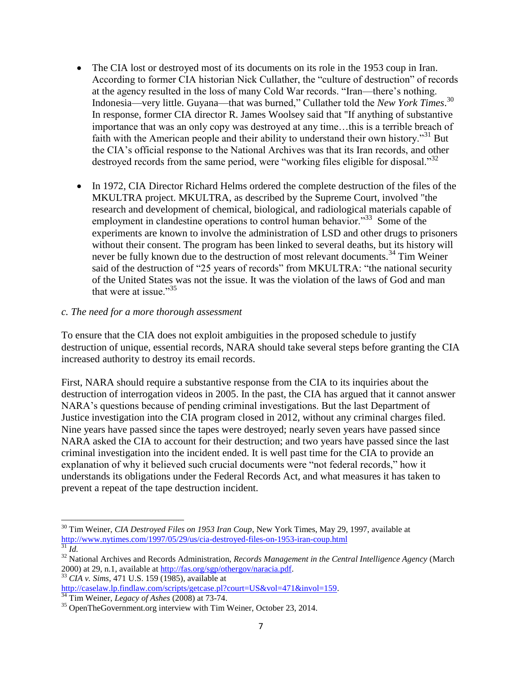- The CIA lost or destroyed most of its documents on its role in the 1953 coup in Iran. According to former CIA historian Nick Cullather, the "culture of destruction" of records at the agency resulted in the loss of many Cold War records. "Iran—there's nothing. Indonesia—very little. Guyana—that was burned," Cullather told the *New York Times*. 30 In response, former CIA director R. James Woolsey said that ''If anything of substantive importance that was an only copy was destroyed at any time…this is a terrible breach of faith with the American people and their ability to understand their own history.<sup>31</sup> But the CIA's official response to the National Archives was that its Iran records, and other destroyed records from the same period, were "working files eligible for disposal."<sup>32</sup>
- In 1972, CIA Director Richard Helms ordered the complete destruction of the files of the MKULTRA project. MKULTRA, as described by the Supreme Court, involved "the research and development of chemical, biological, and radiological materials capable of employment in clandestine operations to control human behavior."<sup>33</sup> Some of the experiments are known to involve the administration of LSD and other drugs to prisoners without their consent. The program has been linked to several deaths, but its history will never be fully known due to the destruction of most relevant documents.<sup>34</sup> Tim Weiner said of the destruction of "25 years of records" from MKULTRA: "the national security of the United States was not the issue. It was the violation of the laws of God and man that were at issue."<sup>35</sup>

#### *c. The need for a more thorough assessment*

To ensure that the CIA does not exploit ambiguities in the proposed schedule to justify destruction of unique, essential records, NARA should take several steps before granting the CIA increased authority to destroy its email records.

First, NARA should require a substantive response from the CIA to its inquiries about the destruction of interrogation videos in 2005. In the past, the CIA has argued that it cannot answer NARA's questions because of pending criminal investigations. But the last Department of Justice investigation into the CIA program closed in 2012, without any criminal charges filed. Nine years have passed since the tapes were destroyed; nearly seven years have passed since NARA asked the CIA to account for their destruction; and two years have passed since the last criminal investigation into the incident ended. It is well past time for the CIA to provide an explanation of why it believed such crucial documents were "not federal records," how it understands its obligations under the Federal Records Act, and what measures it has taken to prevent a repeat of the tape destruction incident.

<sup>33</sup> *CIA v. Sims*, 471 U.S. 159 (1985), available at

l

<sup>30</sup> Tim Weiner, *CIA Destroyed Files on 1953 Iran Coup*, New York Times, May 29, 1997, available at <http://www.nytimes.com/1997/05/29/us/cia-destroyed-files-on-1953-iran-coup.html>  $\overline{\overline{31}}$ *Id.* 

<sup>32</sup> National Archives and Records Administration, *Records Management in the Central Intelligence Agency* (March 2000) at 29, n.1, available at [http://fas.org/sgp/othergov/naracia.pdf.](http://fas.org/sgp/othergov/naracia.pdf)

[http://caselaw.lp.findlaw.com/scripts/getcase.pl?court=US&vol=471&invol=159.](http://caselaw.lp.findlaw.com/scripts/getcase.pl?court=US&vol=471&invol=159)

<sup>34</sup> Tim Weiner, *Legacy of Ashes* (2008) at 73-74.

<sup>&</sup>lt;sup>35</sup> OpenTheGovernment.org interview with Tim Weiner, October 23, 2014.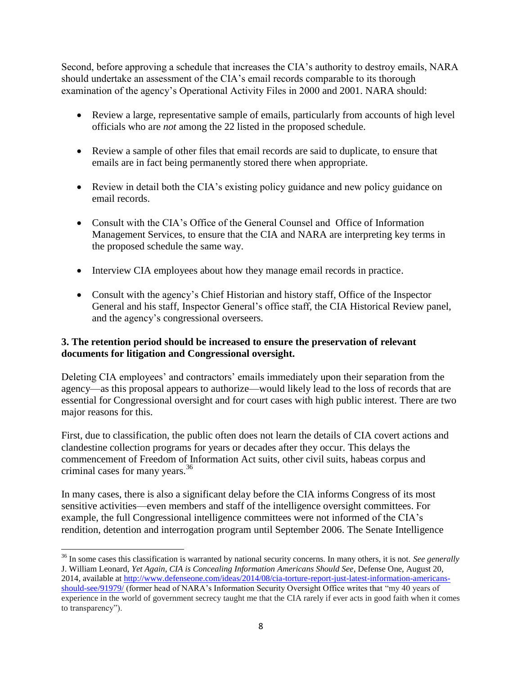Second, before approving a schedule that increases the CIA's authority to destroy emails, NARA should undertake an assessment of the CIA's email records comparable to its thorough examination of the agency's Operational Activity Files in 2000 and 2001. NARA should:

- Review a large, representative sample of emails, particularly from accounts of high level officials who are *not* among the 22 listed in the proposed schedule.
- Review a sample of other files that email records are said to duplicate, to ensure that emails are in fact being permanently stored there when appropriate.
- Review in detail both the CIA's existing policy guidance and new policy guidance on email records.
- Consult with the CIA's Office of the General Counsel and Office of Information Management Services, to ensure that the CIA and NARA are interpreting key terms in the proposed schedule the same way.
- Interview CIA employees about how they manage email records in practice.
- Consult with the agency's Chief Historian and history staff, Office of the Inspector General and his staff, Inspector General's office staff, the CIA Historical Review panel, and the agency's congressional overseers.

## **3. The retention period should be increased to ensure the preservation of relevant documents for litigation and Congressional oversight.**

Deleting CIA employees' and contractors' emails immediately upon their separation from the agency—as this proposal appears to authorize—would likely lead to the loss of records that are essential for Congressional oversight and for court cases with high public interest. There are two major reasons for this.

First, due to classification, the public often does not learn the details of CIA covert actions and clandestine collection programs for years or decades after they occur. This delays the commencement of Freedom of Information Act suits, other civil suits, habeas corpus and criminal cases for many years.<sup>36</sup>

In many cases, there is also a significant delay before the CIA informs Congress of its most sensitive activities—even members and staff of the intelligence oversight committees. For example, the full Congressional intelligence committees were not informed of the CIA's rendition, detention and interrogation program until September 2006. The Senate Intelligence

l <sup>36</sup> In some cases this classification is warranted by national security concerns. In many others, it is not. *See generally*  J. William Leonard, *Yet Again, CIA is Concealing Information Americans Should See*, Defense One, August 20, 2014, available at [http://www.defenseone.com/ideas/2014/08/cia-torture-report-just-latest-information-americans](http://www.defenseone.com/ideas/2014/08/cia-torture-report-just-latest-information-americans-should-see/91979/)[should-see/91979/](http://www.defenseone.com/ideas/2014/08/cia-torture-report-just-latest-information-americans-should-see/91979/) (former head of NARA's Information Security Oversight Office writes that "my 40 years of experience in the world of government secrecy taught me that the CIA rarely if ever acts in good faith when it comes to transparency").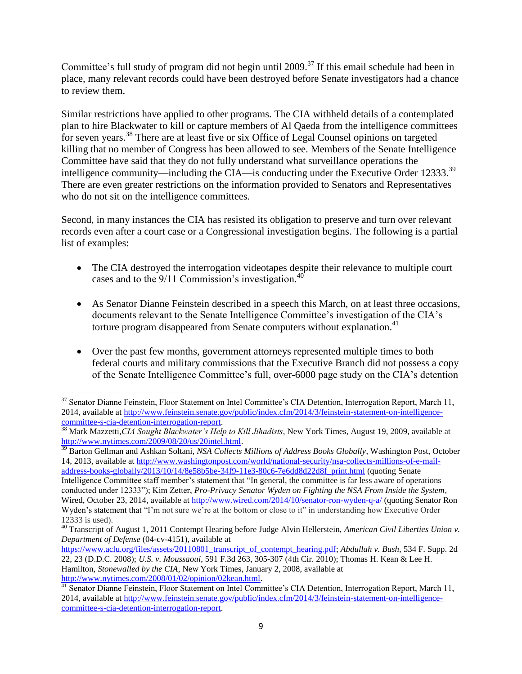Committee's full study of program did not begin until 2009.<sup>37</sup> If this email schedule had been in place, many relevant records could have been destroyed before Senate investigators had a chance to review them.

Similar restrictions have applied to other programs. The CIA withheld details of a contemplated plan to hire Blackwater to kill or capture members of Al Qaeda from the intelligence committees for seven years.<sup>38</sup> There are at least five or six Office of Legal Counsel opinions on targeted killing that no member of Congress has been allowed to see. Members of the Senate Intelligence Committee have said that they do not fully understand what surveillance operations the intelligence community—including the CIA—is conducting under the Executive Order 12333. $^{39}$ There are even greater restrictions on the information provided to Senators and Representatives who do not sit on the intelligence committees.

Second, in many instances the CIA has resisted its obligation to preserve and turn over relevant records even after a court case or a Congressional investigation begins. The following is a partial list of examples:

- The CIA destroyed the interrogation videotapes despite their relevance to multiple court cases and to the 9/11 Commission's investigation. 40
- As Senator Dianne Feinstein described in a speech this March, on at least three occasions, documents relevant to the Senate Intelligence Committee's investigation of the CIA's torture program disappeared from Senate computers without explanation.<sup>41</sup>
- Over the past few months, government attorneys represented multiple times to both federal courts and military commissions that the Executive Branch did not possess a copy of the Senate Intelligence Committee's full, over-6000 page study on the CIA's detention

 $\overline{\phantom{a}}$ 

<sup>39</sup> Barton Gellman and Ashkan Soltani, *NSA Collects Millions of Address Books Globally*, Washington Post, October 14, 2013, available at [http://www.washingtonpost.com/world/national-security/nsa-collects-millions-of-e-mail](http://www.washingtonpost.com/world/national-security/nsa-collects-millions-of-e-mail-address-books-globally/2013/10/14/8e58b5be-34f9-11e3-80c6-7e6dd8d22d8f_print.html)[address-books-globally/2013/10/14/8e58b5be-34f9-11e3-80c6-7e6dd8d22d8f\\_print.html](http://www.washingtonpost.com/world/national-security/nsa-collects-millions-of-e-mail-address-books-globally/2013/10/14/8e58b5be-34f9-11e3-80c6-7e6dd8d22d8f_print.html) (quoting Senate Intelligence Committee staff member's statement that "In general, the committee is far less aware of operations conducted under 12333"); Kim Zetter, *Pro-Privacy Senator Wyden on Fighting the NSA From Inside the System*, Wired, October 23, 2014, available at<http://www.wired.com/2014/10/senator-ron-wyden-q-a/> (quoting Senator Ron Wyden's statement that "I'm not sure we're at the bottom or close to it" in understanding how Executive Order 12333 is used).

<sup>&</sup>lt;sup>37</sup> Senator Dianne Feinstein, Floor Statement on Intel Committee's CIA Detention, Interrogation Report, March 11, 2014, available at [http://www.feinstein.senate.gov/public/index.cfm/2014/3/feinstein-statement-on-intelligence](http://www.feinstein.senate.gov/public/index.cfm/2014/3/feinstein-statement-on-intelligence-committee-s-cia-detention-interrogation-report)[committee-s-cia-detention-interrogation-report.](http://www.feinstein.senate.gov/public/index.cfm/2014/3/feinstein-statement-on-intelligence-committee-s-cia-detention-interrogation-report)

<sup>38</sup> Mark Mazzetti,*CIA Sought Blackwater's Help to Kill Jihadists*, New York Times, August 19, 2009, available at [http://www.nytimes.com/2009/08/20/us/20intel.html.](http://www.nytimes.com/2009/08/20/us/20intel.html)

<sup>40</sup> Transcript of August 1, 2011 Contempt Hearing before Judge Alvin Hellerstein, *American Civil Liberties Union v. Department of Defense* (04-cv-4151), available at

[https://www.aclu.org/files/assets/20110801\\_transcript\\_of\\_contempt\\_hearing.pdf;](https://www.aclu.org/files/assets/20110801_transcript_of_contempt_hearing.pdf) *Abdullah v. Bush,* 534 F. Supp. 2d 22, 23 (D.D.C. 2008); *U.S. v. Moussaoui*, 591 F.3d 263, 305-307 (4th Cir. 2010); Thomas H. Kean & Lee H. Hamilton, *Stonewalled by the CIA*, New York Times, January 2, 2008, available at [http://www.nytimes.com/2008/01/02/opinion/02kean.html.](http://www.nytimes.com/2008/01/02/opinion/02kean.html)

<sup>&</sup>lt;sup>41</sup> Senator Dianne Feinstein, Floor Statement on Intel Committee's CIA Detention, Interrogation Report, March 11, 2014, available at [http://www.feinstein.senate.gov/public/index.cfm/2014/3/feinstein-statement-on-intelligence](http://www.feinstein.senate.gov/public/index.cfm/2014/3/feinstein-statement-on-intelligence-committee-s-cia-detention-interrogation-report)[committee-s-cia-detention-interrogation-report.](http://www.feinstein.senate.gov/public/index.cfm/2014/3/feinstein-statement-on-intelligence-committee-s-cia-detention-interrogation-report)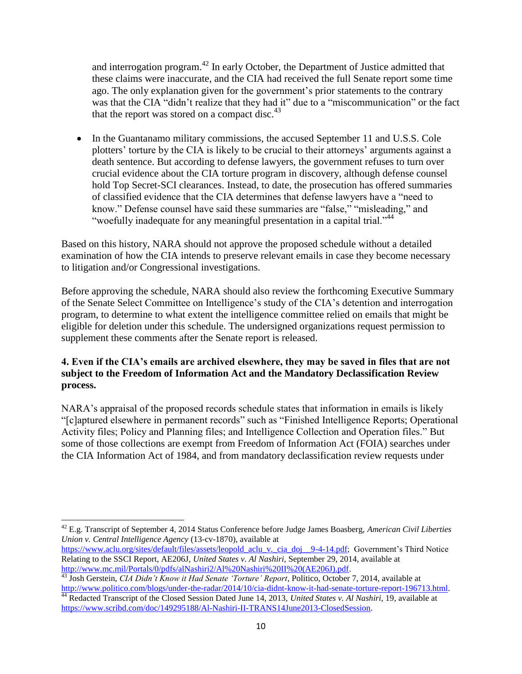and interrogation program.<sup>42</sup> In early October, the Department of Justice admitted that these claims were inaccurate, and the CIA had received the full Senate report some time ago. The only explanation given for the government's prior statements to the contrary was that the CIA "didn't realize that they had it" due to a "miscommunication" or the fact that the report was stored on a compact disc. $43$ 

• In the Guantanamo military commissions, the accused September 11 and U.S.S. Cole plotters' torture by the CIA is likely to be crucial to their attorneys' arguments against a death sentence. But according to defense lawyers, the government refuses to turn over crucial evidence about the CIA torture program in discovery, although defense counsel hold Top Secret-SCI clearances. Instead, to date, the prosecution has offered summaries of classified evidence that the CIA determines that defense lawyers have a "need to know." Defense counsel have said these summaries are "false," "misleading," and "woefully inadequate for any meaningful presentation in a capital trial."<sup>44</sup>

Based on this history, NARA should not approve the proposed schedule without a detailed examination of how the CIA intends to preserve relevant emails in case they become necessary to litigation and/or Congressional investigations.

Before approving the schedule, NARA should also review the forthcoming Executive Summary of the Senate Select Committee on Intelligence's study of the CIA's detention and interrogation program, to determine to what extent the intelligence committee relied on emails that might be eligible for deletion under this schedule. The undersigned organizations request permission to supplement these comments after the Senate report is released.

### **4. Even if the CIA's emails are archived elsewhere, they may be saved in files that are not subject to the Freedom of Information Act and the Mandatory Declassification Review process.**

NARA's appraisal of the proposed records schedule states that information in emails is likely "[c]aptured elsewhere in permanent records" such as "Finished Intelligence Reports; Operational Activity files; Policy and Planning files; and Intelligence Collection and Operation files." But some of those collections are exempt from Freedom of Information Act (FOIA) searches under the CIA Information Act of 1984, and from mandatory declassification review requests under

l

<sup>42</sup> E.g. Transcript of September 4, 2014 Status Conference before Judge James Boasberg, *American Civil Liberties Union v. Central Intelligence Agency* (13-cv-1870), available at

[https://www.aclu.org/sites/default/files/assets/leopold\\_aclu\\_v.\\_cia\\_doj\\_\\_9-4-14.pdf;](https://www.aclu.org/sites/default/files/assets/leopold_aclu_v._cia_doj__9-4-14.pdf) Government's Third Notice Relating to the SSCI Report, AE206J, *United States v. Al Nashiri,* September 29, 2014, available at [http://www.mc.mil/Portals/0/pdfs/alNashiri2/Al%20Nashiri%20II%20\(AE206J\).pdf.](http://www.mc.mil/Portals/0/pdfs/alNashiri2/Al%20Nashiri%20II%20(AE206J).pdf)

<sup>43</sup> Josh Gerstein, *CIA Didn't Know it Had Senate 'Torture' Report*, Politico, October 7, 2014, available at [http://www.politico.com/blogs/under-the-radar/2014/10/cia-didnt-know-it-had-senate-torture-report-196713.html.](http://www.politico.com/blogs/under-the-radar/2014/10/cia-didnt-know-it-had-senate-torture-report-196713.html)

<sup>44</sup> Redacted Transcript of the Closed Session Dated June 14, 2013, *United States v. Al Nashiri,* 19, available at [https://www.scribd.com/doc/149295188/Al-Nashiri-II-TRANS14June2013-ClosedSession.](https://www.scribd.com/doc/149295188/Al-Nashiri-II-TRANS14June2013-ClosedSession)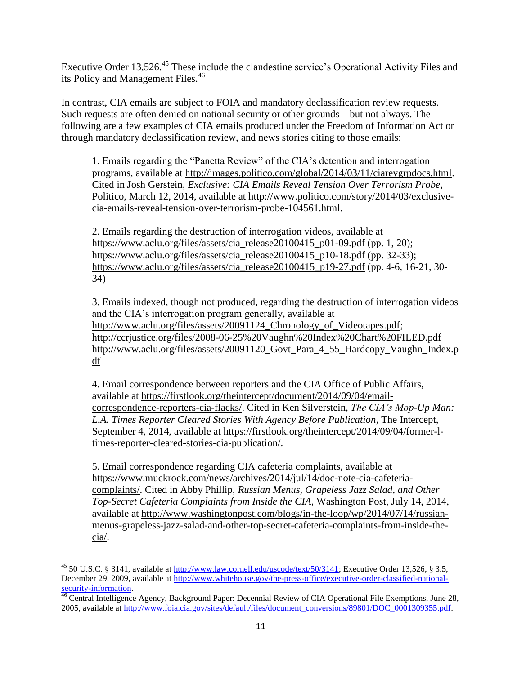Executive Order 13,526.<sup>45</sup> These include the clandestine service's Operational Activity Files and its Policy and Management Files.<sup>46</sup>

In contrast, CIA emails are subject to FOIA and mandatory declassification review requests. Such requests are often denied on national security or other grounds—but not always. The following are a few examples of CIA emails produced under the Freedom of Information Act or through mandatory declassification review, and news stories citing to those emails:

1. Emails regarding the "Panetta Review" of the CIA's detention and interrogation programs, available at [http://images.politico.com/global/2014/03/11/ciarevgrpdocs.html.](http://images.politico.com/global/2014/03/11/ciarevgrpdocs.html) Cited in Josh Gerstein, *Exclusive: CIA Emails Reveal Tension Over Terrorism Probe*, Politico, March 12, 2014, available at [http://www.politico.com/story/2014/03/exclusive](http://www.politico.com/story/2014/03/exclusive-cia-emails-reveal-tension-over-terrorism-probe-104561.html)[cia-emails-reveal-tension-over-terrorism-probe-104561.html.](http://www.politico.com/story/2014/03/exclusive-cia-emails-reveal-tension-over-terrorism-probe-104561.html)

2. Emails regarding the destruction of interrogation videos, available at [https://www.aclu.org/files/assets/cia\\_release20100415\\_p01-09.pdf](https://www.aclu.org/files/assets/cia_release20100415_p01-09.pdf) (pp. 1, 20); [https://www.aclu.org/files/assets/cia\\_release20100415\\_p10-18.pdf](https://www.aclu.org/files/assets/cia_release20100415_p10-18.pdf) (pp. 32-33); [https://www.aclu.org/files/assets/cia\\_release20100415\\_p19-27.pdf](https://www.aclu.org/files/assets/cia_release20100415_p19-27.pdf) (pp. 4-6, 16-21, 30- 34)

3. Emails indexed, though not produced, regarding the destruction of interrogation videos and the CIA's interrogation program generally, available at http://www.aclu.org/files/assets/20091124 Chronology of Videotapes.pdf; <http://ccrjustice.org/files/2008-06-25%20Vaughn%20Index%20Chart%20FILED.pdf> http://www.aclu.org/files/assets/20091120 Govt Para 4 55 Hardcopy Vaughn Index.p [df](http://www.aclu.org/files/assets/20091120_Govt_Para_4_55_Hardcopy_Vaughn_Index.pdf)

4. Email correspondence between reporters and the CIA Office of Public Affairs, available at [https://firstlook.org/theintercept/document/2014/09/04/email](https://firstlook.org/theintercept/document/2014/09/04/email-correspondence-reporters-cia-flacks/)[correspondence-reporters-cia-flacks/.](https://firstlook.org/theintercept/document/2014/09/04/email-correspondence-reporters-cia-flacks/) Cited in Ken Silverstein, *The CIA's Mop-Up Man: L.A. Times Reporter Cleared Stories With Agency Before Publication*, The Intercept, September 4, 2014, available at [https://firstlook.org/theintercept/2014/09/04/former-l](https://firstlook.org/theintercept/2014/09/04/former-l-times-reporter-cleared-stories-cia-publication/)[times-reporter-cleared-stories-cia-publication/.](https://firstlook.org/theintercept/2014/09/04/former-l-times-reporter-cleared-stories-cia-publication/)

5. Email correspondence regarding CIA cafeteria complaints, available at [https://www.muckrock.com/news/archives/2014/jul/14/doc-note-cia-cafeteria](https://www.muckrock.com/news/archives/2014/jul/14/doc-note-cia-cafeteria-complaints/)[complaints/.](https://www.muckrock.com/news/archives/2014/jul/14/doc-note-cia-cafeteria-complaints/) Cited in Abby Phillip, *Russian Menus, Grapeless Jazz Salad, and Other Top-Secret Cafeteria Complaints from Inside the CIA*, Washington Post, July 14, 2014, available at [http://www.washingtonpost.com/blogs/in-the-loop/wp/2014/07/14/russian](http://www.washingtonpost.com/blogs/in-the-loop/wp/2014/07/14/russian-menus-grapeless-jazz-salad-and-other-top-secret-cafeteria-complaints-from-inside-the-cia/)[menus-grapeless-jazz-salad-and-other-top-secret-cafeteria-complaints-from-inside-the](http://www.washingtonpost.com/blogs/in-the-loop/wp/2014/07/14/russian-menus-grapeless-jazz-salad-and-other-top-secret-cafeteria-complaints-from-inside-the-cia/)[cia/.](http://www.washingtonpost.com/blogs/in-the-loop/wp/2014/07/14/russian-menus-grapeless-jazz-salad-and-other-top-secret-cafeteria-complaints-from-inside-the-cia/)

 $\overline{a}$ 

<sup>&</sup>lt;sup>45</sup> 50 U.S.C. § 3141, available at  $\frac{http://www.law.cornell.edu/uscode/text/50/3141}{http://www.law.cornell.edu/uscode/text/50/3141}$ ; Executive Order 13,526, § 3.5, December 29, 2009, available at [http://www.whitehouse.gov/the-press-office/executive-order-classified-national](http://www.whitehouse.gov/the-press-office/executive-order-classified-national-security-information)[security-information.](http://www.whitehouse.gov/the-press-office/executive-order-classified-national-security-information)

<sup>&</sup>lt;sup>46</sup> Central Intelligence Agency, Background Paper: Decennial Review of CIA Operational File Exemptions, June 28, 2005, available at [http://www.foia.cia.gov/sites/default/files/document\\_conversions/89801/DOC\\_0001309355.pdf.](http://www.foia.cia.gov/sites/default/files/document_conversions/89801/DOC_0001309355.pdf)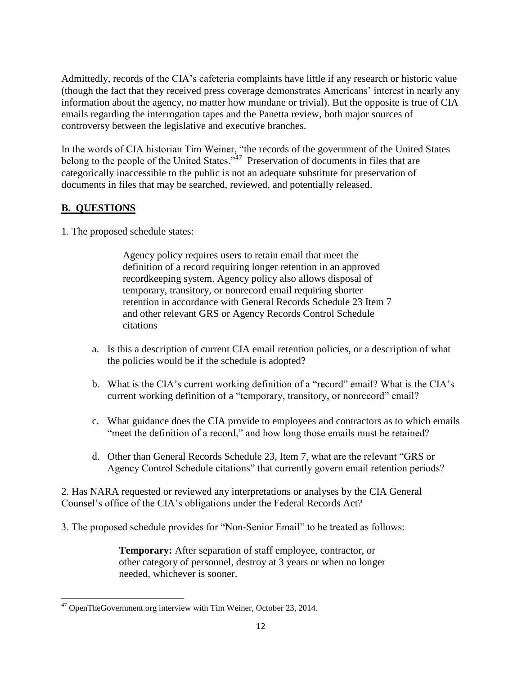Admittedly, records of the CIA's cafeteria complaints have little if any research or historic value (though the fact that they received press coverage demonstrates Americans' interest in nearly any information about the agency, no matter how mundane or trivial). But the opposite is true of CIA emails regarding the interrogation tapes and the Panetta review, both major sources of controversy between the legislative and executive branches.

In the words of CIA historian Tim Weiner, "the records of the government of the United States belong to the people of the United States." $47$  Preservation of documents in files that are categorically inaccessible to the public is not an adequate substitute for preservation of documents in files that may be searched, reviewed, and potentially released.

## **B. QUESTIONS**

1. The proposed schedule states:

Agency policy requires users to retain email that meet the definition of a record requiring longer retention in an approved recordkeeping system. Agency policy also allows disposal of temporary, transitory, or nonrecord email requiring shorter retention in accordance with General Records Schedule 23 Item 7 and other relevant GRS or Agency Records Control Schedule citations

- a. Is this a description of current CIA email retention policies, or a description of what the policies would be if the schedule is adopted?
- b. What is the CIA's current working definition of a "record" email? What is the CIA's current working definition of a "temporary, transitory, or nonrecord" email?
- c. What guidance does the CIA provide to employees and contractors as to which emails "meet the definition of a record," and how long those emails must be retained?
- d. Other than General Records Schedule 23, Item 7, what are the relevant "GRS or Agency Control Schedule citations" that currently govern email retention periods?

2. Has NARA requested or reviewed any interpretations or analyses by the CIA General Counsel's office of the CIA's obligations under the Federal Records Act?

3. The proposed schedule provides for "Non-Senior Email" to be treated as follows:

**Temporary:** After separation of staff employee, contractor, or other category of personnel, destroy at 3 years or when no longer needed, whichever is sooner.

 $\overline{\phantom{a}}$ <sup>47</sup> OpenTheGovernment.org interview with Tim Weiner, October 23, 2014.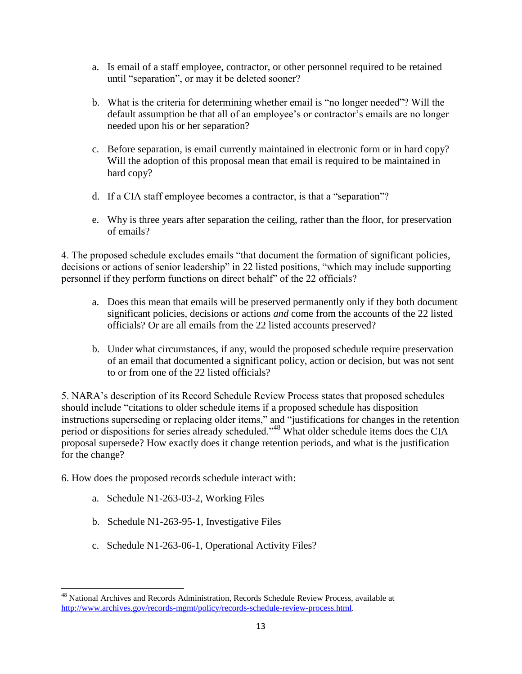- a. Is email of a staff employee, contractor, or other personnel required to be retained until "separation", or may it be deleted sooner?
- b. What is the criteria for determining whether email is "no longer needed"? Will the default assumption be that all of an employee's or contractor's emails are no longer needed upon his or her separation?
- c. Before separation, is email currently maintained in electronic form or in hard copy? Will the adoption of this proposal mean that email is required to be maintained in hard copy?
- d. If a CIA staff employee becomes a contractor, is that a "separation"?
- e. Why is three years after separation the ceiling, rather than the floor, for preservation of emails?

4. The proposed schedule excludes emails "that document the formation of significant policies, decisions or actions of senior leadership" in 22 listed positions, "which may include supporting personnel if they perform functions on direct behalf" of the 22 officials?

- a. Does this mean that emails will be preserved permanently only if they both document significant policies, decisions or actions *and* come from the accounts of the 22 listed officials? Or are all emails from the 22 listed accounts preserved?
- b. Under what circumstances, if any, would the proposed schedule require preservation of an email that documented a significant policy, action or decision, but was not sent to or from one of the 22 listed officials?

5. NARA's description of its Record Schedule Review Process states that proposed schedules should include "citations to older schedule items if a proposed schedule has disposition instructions superseding or replacing older items," and "justifications for changes in the retention period or dispositions for series already scheduled."<sup>48</sup> What older schedule items does the CIA proposal supersede? How exactly does it change retention periods, and what is the justification for the change?

6. How does the proposed records schedule interact with:

- a. Schedule N1-263-03-2, Working Files
- b. Schedule N1-263-95-1, Investigative Files
- c. Schedule N1-263-06-1, Operational Activity Files?

 $\overline{\phantom{a}}$ <sup>48</sup> National Archives and Records Administration, Records Schedule Review Process, available at [http://www.archives.gov/records-mgmt/policy/records-schedule-review-process.html.](http://www.archives.gov/records-mgmt/policy/records-schedule-review-process.html)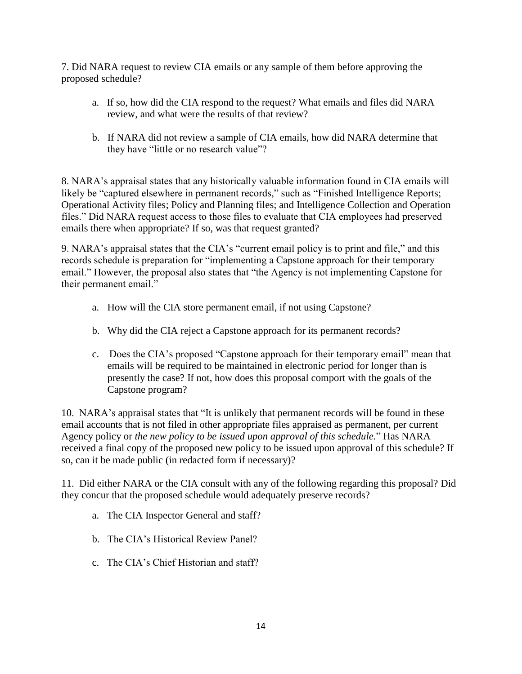7. Did NARA request to review CIA emails or any sample of them before approving the proposed schedule?

- a. If so, how did the CIA respond to the request? What emails and files did NARA review, and what were the results of that review?
- b. If NARA did not review a sample of CIA emails, how did NARA determine that they have "little or no research value"?

8. NARA's appraisal states that any historically valuable information found in CIA emails will likely be "captured elsewhere in permanent records," such as "Finished Intelligence Reports; Operational Activity files; Policy and Planning files; and Intelligence Collection and Operation files." Did NARA request access to those files to evaluate that CIA employees had preserved emails there when appropriate? If so, was that request granted?

9. NARA's appraisal states that the CIA's "current email policy is to print and file," and this records schedule is preparation for "implementing a Capstone approach for their temporary email." However, the proposal also states that "the Agency is not implementing Capstone for their permanent email."

- a. How will the CIA store permanent email, if not using Capstone?
- b. Why did the CIA reject a Capstone approach for its permanent records?
- c. Does the CIA's proposed "Capstone approach for their temporary email" mean that emails will be required to be maintained in electronic period for longer than is presently the case? If not, how does this proposal comport with the goals of the Capstone program?

10. NARA's appraisal states that "It is unlikely that permanent records will be found in these email accounts that is not filed in other appropriate files appraised as permanent, per current Agency policy or *the new policy to be issued upon approval of this schedule.*" Has NARA received a final copy of the proposed new policy to be issued upon approval of this schedule? If so, can it be made public (in redacted form if necessary)?

11. Did either NARA or the CIA consult with any of the following regarding this proposal? Did they concur that the proposed schedule would adequately preserve records?

- a. The CIA Inspector General and staff?
- b. The CIA's Historical Review Panel?
- c. The CIA's Chief Historian and staff?